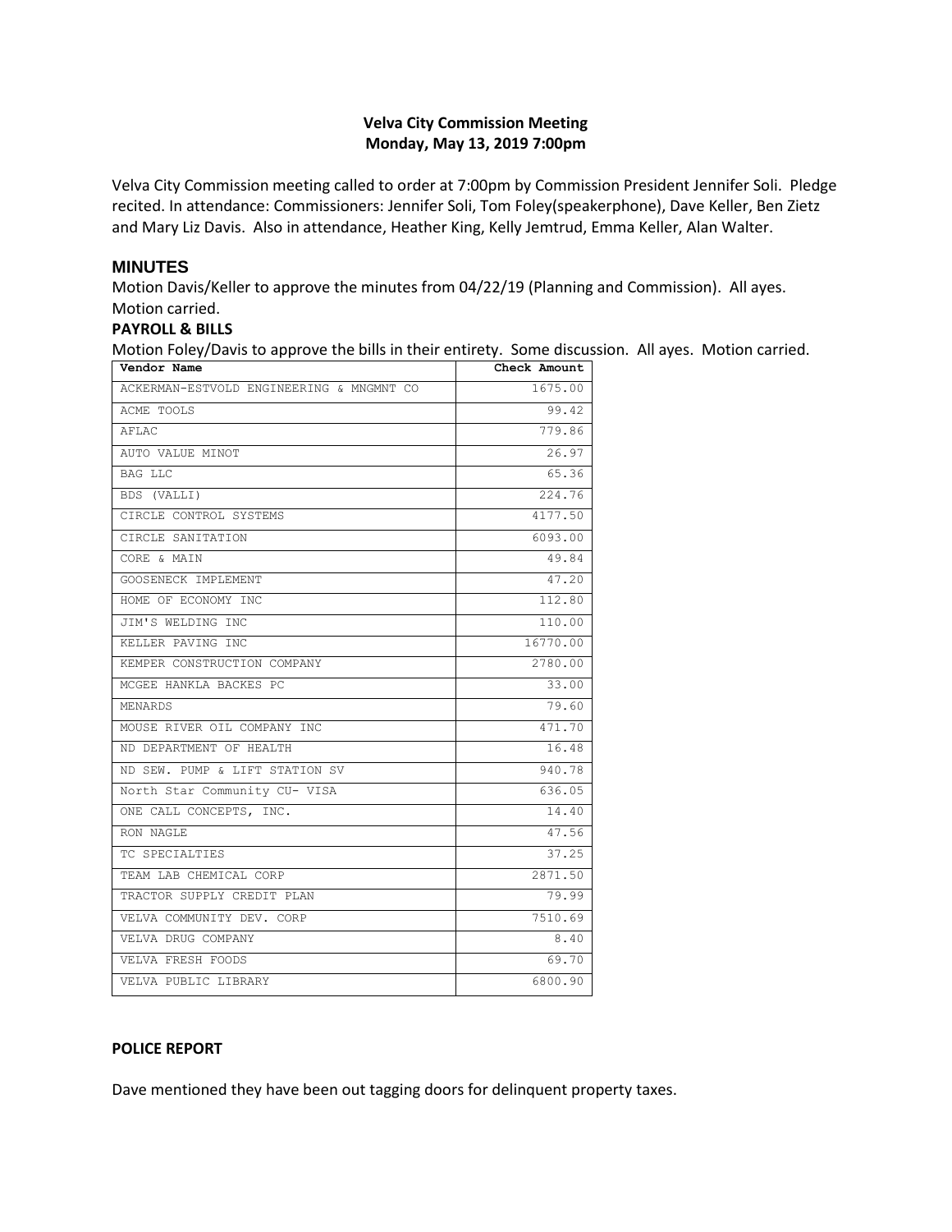## **Velva City Commission Meeting Monday, May 13, 2019 7:00pm**

Velva City Commission meeting called to order at 7:00pm by Commission President Jennifer Soli. Pledge recited. In attendance: Commissioners: Jennifer Soli, Tom Foley(speakerphone), Dave Keller, Ben Zietz and Mary Liz Davis. Also in attendance, Heather King, Kelly Jemtrud, Emma Keller, Alan Walter.

## **MINUTES**

Motion Davis/Keller to approve the minutes from 04/22/19 (Planning and Commission). All ayes. Motion carried.

#### **PAYROLL & BILLS**

Motion Foley/Davis to approve the bills in their entirety. Some discussion. All ayes. Motion carried. **Vendor Nam** 

| venuoi name                              | CHECK AROUNC |
|------------------------------------------|--------------|
| ACKERMAN-ESTVOLD ENGINEERING & MNGMNT CO | 1675.00      |
| ACME TOOLS                               | 99.42        |
| AFLAC                                    | 779.86       |
| AUTO VALUE MINOT                         | 26.97        |
| <b>BAG LLC</b>                           | 65.36        |
| BDS (VALLI)                              | 224.76       |
| CIRCLE CONTROL SYSTEMS                   | 4177.50      |
| CIRCLE SANITATION                        | 6093.00      |
| CORE & MAIN                              | 49.84        |
| GOOSENECK IMPLEMENT                      | 47.20        |
| HOME OF ECONOMY INC                      | 112.80       |
| JIM'S WELDING INC                        | 110.00       |
| KELLER PAVING INC                        | 16770.00     |
| KEMPER CONSTRUCTION COMPANY              | 2780.00      |
| MCGEE HANKLA BACKES PC                   | 33.00        |
| MENARDS                                  | 79.60        |
| MOUSE RIVER OIL COMPANY INC              | 471.70       |
| ND DEPARTMENT OF HEALTH                  | 16.48        |
| ND SEW. PUMP & LIFT STATION SV           | 940.78       |
| North Star Community CU- VISA            | 636.05       |
| ONE CALL CONCEPTS, INC.                  | 14.40        |
| RON NAGLE                                | 47.56        |
| TC SPECIALTIES                           | 37.25        |
| TEAM LAB CHEMICAL CORP                   | 2871.50      |
| TRACTOR SUPPLY CREDIT PLAN               | 79.99        |
| VELVA COMMUNITY DEV. CORP                | 7510.69      |
| VELVA DRUG COMPANY                       | 8.40         |
| VELVA FRESH FOODS                        | 69.70        |
| VELVA PUBLIC LIBRARY                     | 6800.90      |

#### **POLICE REPORT**

Dave mentioned they have been out tagging doors for delinquent property taxes.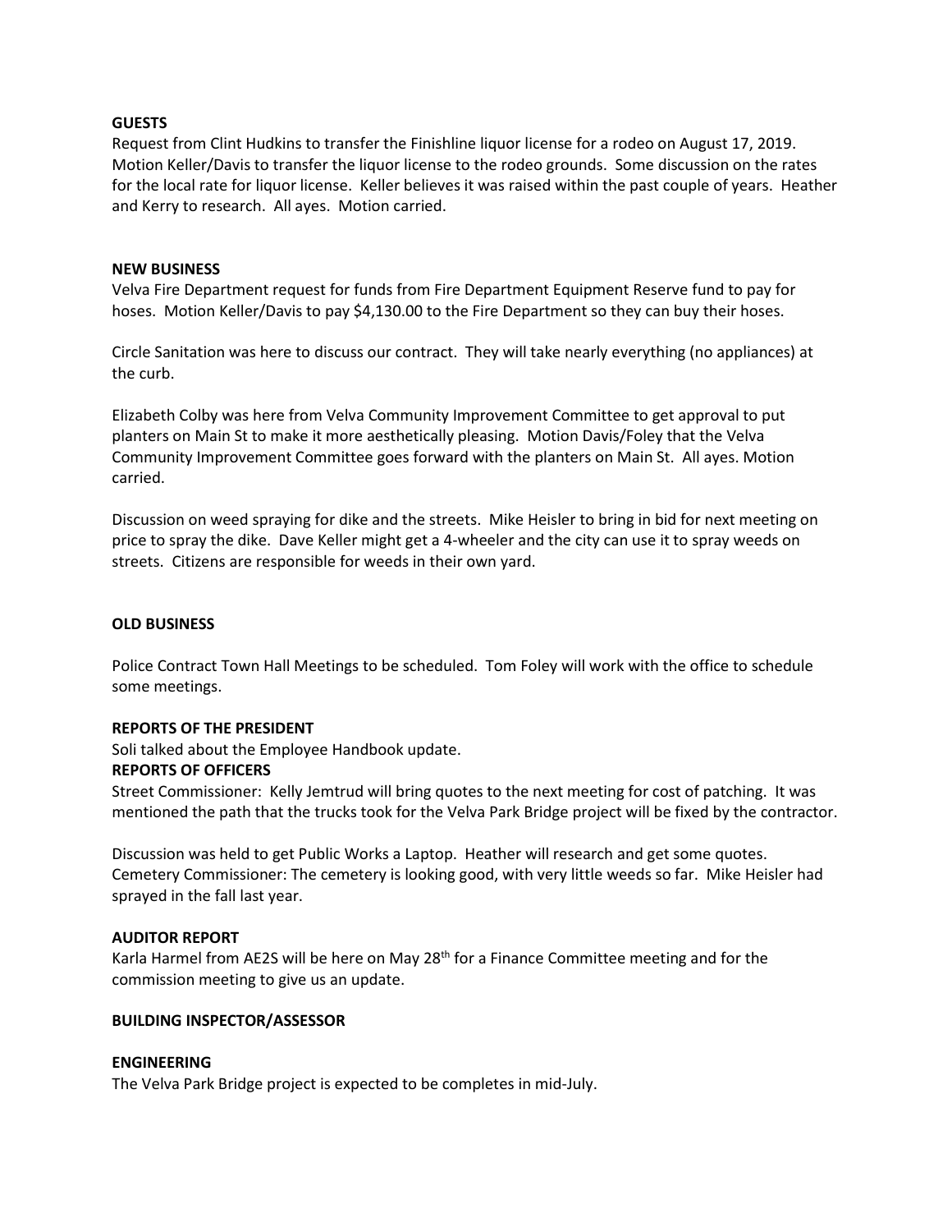#### **GUESTS**

Request from Clint Hudkins to transfer the Finishline liquor license for a rodeo on August 17, 2019. Motion Keller/Davis to transfer the liquor license to the rodeo grounds. Some discussion on the rates for the local rate for liquor license. Keller believes it was raised within the past couple of years. Heather and Kerry to research. All ayes. Motion carried.

#### **NEW BUSINESS**

Velva Fire Department request for funds from Fire Department Equipment Reserve fund to pay for hoses. Motion Keller/Davis to pay \$4,130.00 to the Fire Department so they can buy their hoses.

Circle Sanitation was here to discuss our contract. They will take nearly everything (no appliances) at the curb.

Elizabeth Colby was here from Velva Community Improvement Committee to get approval to put planters on Main St to make it more aesthetically pleasing. Motion Davis/Foley that the Velva Community Improvement Committee goes forward with the planters on Main St. All ayes. Motion carried.

Discussion on weed spraying for dike and the streets. Mike Heisler to bring in bid for next meeting on price to spray the dike. Dave Keller might get a 4-wheeler and the city can use it to spray weeds on streets. Citizens are responsible for weeds in their own yard.

## **OLD BUSINESS**

Police Contract Town Hall Meetings to be scheduled. Tom Foley will work with the office to schedule some meetings.

#### **REPORTS OF THE PRESIDENT**

Soli talked about the Employee Handbook update.

#### **REPORTS OF OFFICERS**

Street Commissioner: Kelly Jemtrud will bring quotes to the next meeting for cost of patching. It was mentioned the path that the trucks took for the Velva Park Bridge project will be fixed by the contractor.

Discussion was held to get Public Works a Laptop. Heather will research and get some quotes. Cemetery Commissioner: The cemetery is looking good, with very little weeds so far. Mike Heisler had sprayed in the fall last year.

## **AUDITOR REPORT**

Karla Harmel from AE2S will be here on May 28<sup>th</sup> for a Finance Committee meeting and for the commission meeting to give us an update.

#### **BUILDING INSPECTOR/ASSESSOR**

#### **ENGINEERING**

The Velva Park Bridge project is expected to be completes in mid-July.